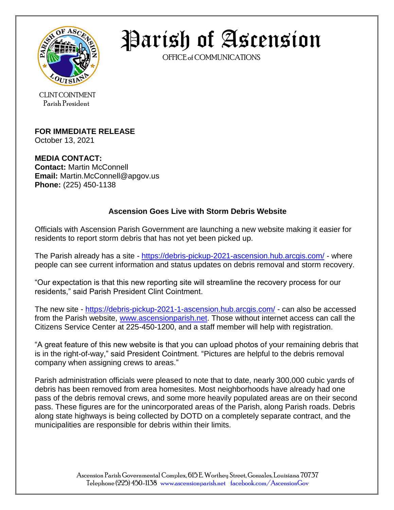

Parish of Ascension

OFFICE of COMMUNICATIONS

CLINT COINTMENT Parish President

## **FOR IMMEDIATE RELEASE**

October 13, 2021

**MEDIA CONTACT: Contact:** Martin McConnell **Email:** Martin.McConnell@apgov.us **Phone:** (225) 450-1138

## **Ascension Goes Live with Storm Debris Website**

Officials with Ascension Parish Government are launching a new website making it easier for residents to report storm debris that has not yet been picked up.

The Parish already has a site - <https://debris-pickup-2021-ascension.hub.arcgis.com/> - where people can see current information and status updates on debris removal and storm recovery.

"Our expectation is that this new reporting site will streamline the recovery process for our residents," said Parish President Clint Cointment.

The new site - <https://debris-pickup-2021-1-ascension.hub.arcgis.com/> - can also be accessed from the Parish website, [www.ascensionparish.net.](http://www.ascensionparish.net/) Those without internet access can call the Citizens Service Center at 225-450-1200, and a staff member will help with registration.

"A great feature of this new website is that you can upload photos of your remaining debris that is in the right-of-way," said President Cointment. "Pictures are helpful to the debris removal company when assigning crews to areas."

Parish administration officials were pleased to note that to date, nearly 300,000 cubic yards of debris has been removed from area homesites. Most neighborhoods have already had one pass of the debris removal crews, and some more heavily populated areas are on their second pass. These figures are for the unincorporated areas of the Parish, along Parish roads. Debris along state highways is being collected by DOTD on a completely separate contract, and the municipalities are responsible for debris within their limits.